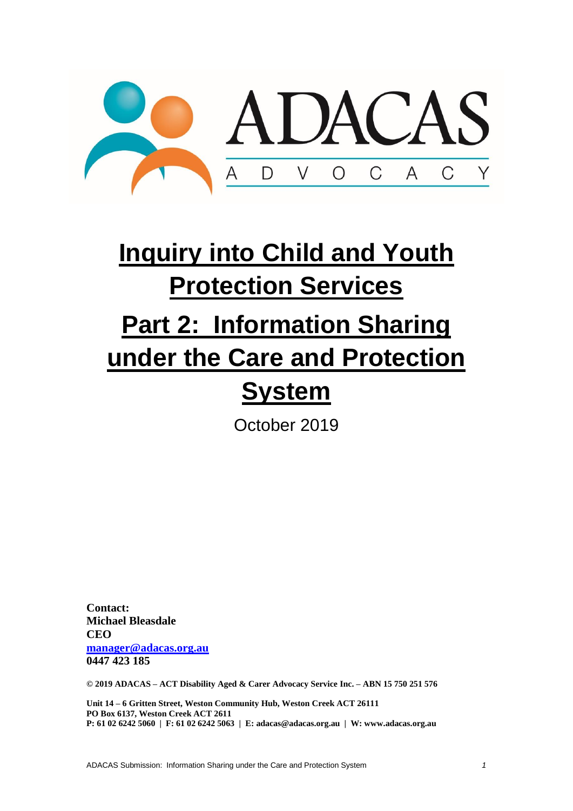

# **Inquiry into Child and Youth Protection Services**

## **Part 2: Information Sharing under the Care and Protection System**

October 2019

**Contact: Michael Bleasdale CEO [manager@adacas.org.au](mailto:manager@adacas.org.au) 0447 423 185**

**© 2019 ADACAS – ACT Disability Aged & Carer Advocacy Service Inc. – ABN 15 750 251 576**

**Unit 14 – 6 Gritten Street, Weston Community Hub, Weston Creek ACT 26111 PO Box 6137, Weston Creek ACT 2611 P: 61 02 6242 5060 | F: 61 02 6242 5063 | E: adacas@adacas.org.au | W: www.adacas.org.au**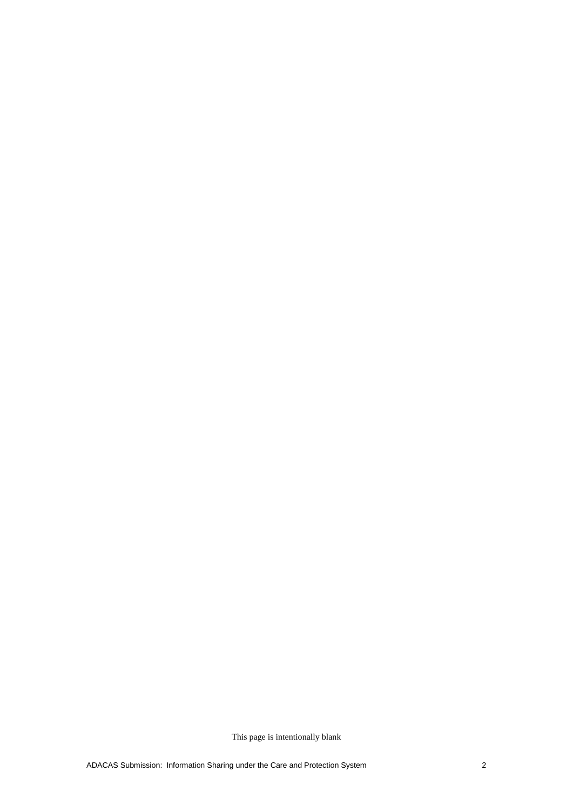This page is intentionally blank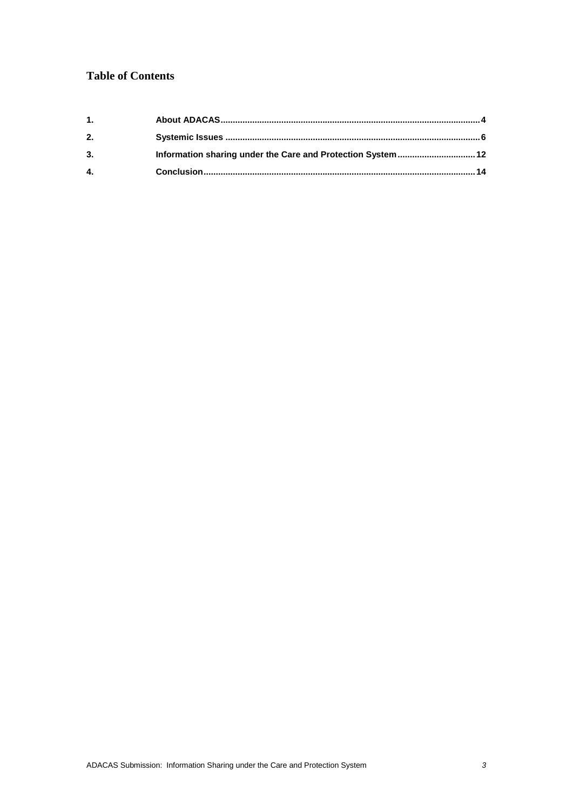#### **Table of Contents**

| 1. |                                                              |  |
|----|--------------------------------------------------------------|--|
| 2. |                                                              |  |
| 3. | Information sharing under the Care and Protection System  12 |  |
| 4. |                                                              |  |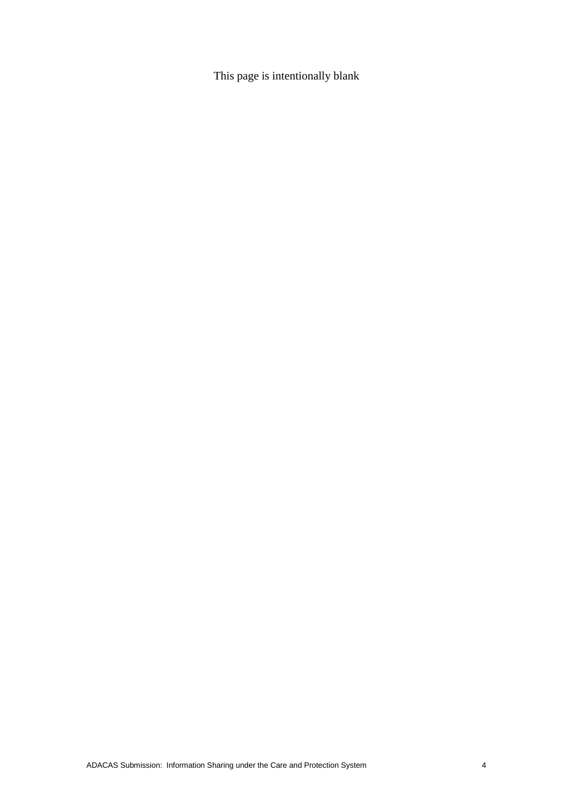<span id="page-3-0"></span>This page is intentionally blank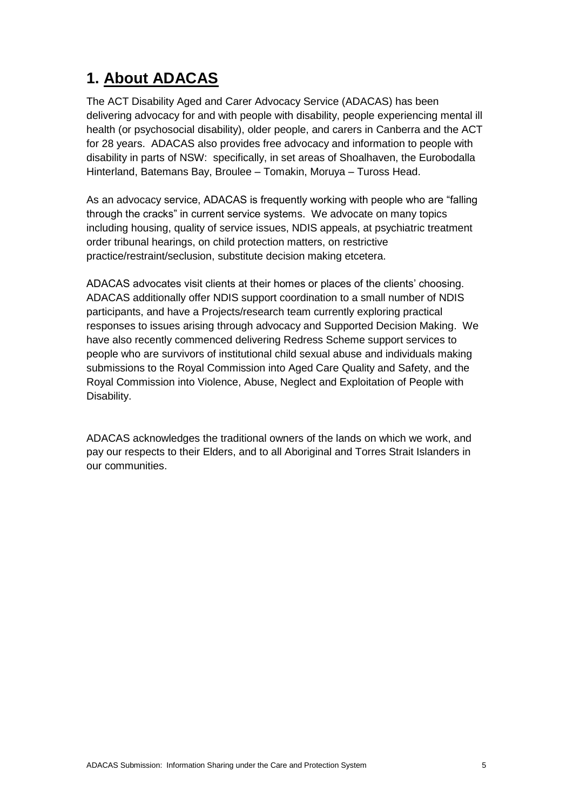## **1. About ADACAS**

The ACT Disability Aged and Carer Advocacy Service (ADACAS) has been delivering advocacy for and with people with disability, people experiencing mental ill health (or psychosocial disability), older people, and carers in Canberra and the ACT for 28 years. ADACAS also provides free advocacy and information to people with disability in parts of NSW: specifically, in set areas of Shoalhaven, the Eurobodalla Hinterland, Batemans Bay, Broulee – Tomakin, Moruya – Tuross Head.

As an advocacy service, ADACAS is frequently working with people who are "falling through the cracks" in current service systems. We advocate on many topics including housing, quality of service issues, NDIS appeals, at psychiatric treatment order tribunal hearings, on child protection matters, on restrictive practice/restraint/seclusion, substitute decision making etcetera.

ADACAS advocates visit clients at their homes or places of the clients' choosing. ADACAS additionally offer NDIS support coordination to a small number of NDIS participants, and have a Projects/research team currently exploring practical responses to issues arising through advocacy and Supported Decision Making. We have also recently commenced delivering Redress Scheme support services to people who are survivors of institutional child sexual abuse and individuals making submissions to the Royal Commission into Aged Care Quality and Safety, and the Royal Commission into Violence, Abuse, Neglect and Exploitation of People with Disability.

ADACAS acknowledges the traditional owners of the lands on which we work, and pay our respects to their Elders, and to all Aboriginal and Torres Strait Islanders in our communities.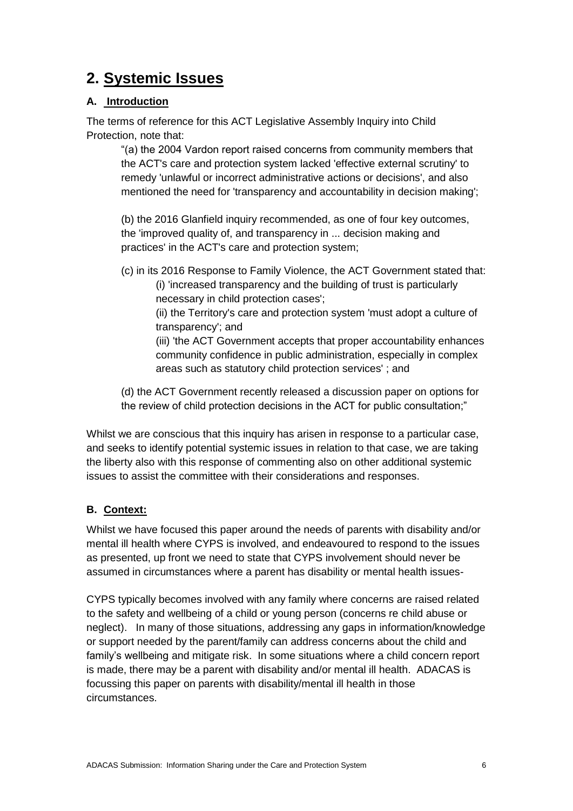## <span id="page-5-0"></span>**2. Systemic Issues**

#### **A. Introduction**

The terms of reference for this ACT Legislative Assembly Inquiry into Child Protection, note that:

"(a) the 2004 Vardon report raised concerns from community members that the ACT's care and protection system lacked 'effective external scrutiny' to remedy 'unlawful or incorrect administrative actions or decisions', and also mentioned the need for 'transparency and accountability in decision making';

(b) the 2016 Glanfield inquiry recommended, as one of four key outcomes, the 'improved quality of, and transparency in ... decision making and practices' in the ACT's care and protection system;

(c) in its 2016 Response to Family Violence, the ACT Government stated that: (i) 'increased transparency and the building of trust is particularly necessary in child protection cases'; (ii) the Territory's care and protection system 'must adopt a culture of

transparency'; and (iii) 'the ACT Government accepts that proper accountability enhances

community confidence in public administration, especially in complex areas such as statutory child protection services' ; and

(d) the ACT Government recently released a discussion paper on options for the review of child protection decisions in the ACT for public consultation;"

Whilst we are conscious that this inquiry has arisen in response to a particular case, and seeks to identify potential systemic issues in relation to that case, we are taking the liberty also with this response of commenting also on other additional systemic issues to assist the committee with their considerations and responses.

#### **B. Context:**

Whilst we have focused this paper around the needs of parents with disability and/or mental ill health where CYPS is involved, and endeavoured to respond to the issues as presented, up front we need to state that CYPS involvement should never be assumed in circumstances where a parent has disability or mental health issues-

CYPS typically becomes involved with any family where concerns are raised related to the safety and wellbeing of a child or young person (concerns re child abuse or neglect). In many of those situations, addressing any gaps in information/knowledge or support needed by the parent/family can address concerns about the child and family's wellbeing and mitigate risk. In some situations where a child concern report is made, there may be a parent with disability and/or mental ill health. ADACAS is focussing this paper on parents with disability/mental ill health in those circumstances.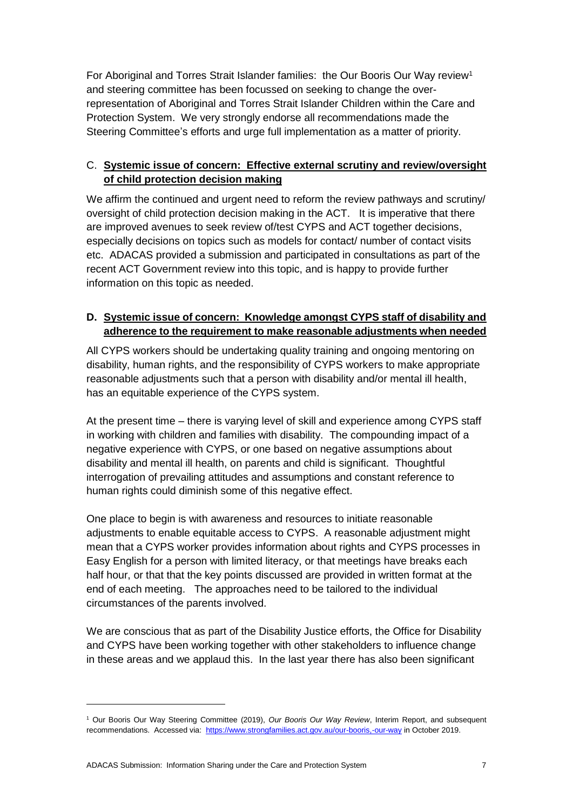For Aboriginal and Torres Strait Islander families: the Our Booris Our Way review<sup>1</sup> and steering committee has been focussed on seeking to change the overrepresentation of Aboriginal and Torres Strait Islander Children within the Care and Protection System. We very strongly endorse all recommendations made the Steering Committee's efforts and urge full implementation as a matter of priority.

#### C. **Systemic issue of concern: Effective external scrutiny and review/oversight of child protection decision making**

We affirm the continued and urgent need to reform the review pathways and scrutiny/ oversight of child protection decision making in the ACT. It is imperative that there are improved avenues to seek review of/test CYPS and ACT together decisions, especially decisions on topics such as models for contact/ number of contact visits etc. ADACAS provided a submission and participated in consultations as part of the recent ACT Government review into this topic, and is happy to provide further information on this topic as needed.

#### **D. Systemic issue of concern: Knowledge amongst CYPS staff of disability and adherence to the requirement to make reasonable adjustments when needed**

All CYPS workers should be undertaking quality training and ongoing mentoring on disability, human rights, and the responsibility of CYPS workers to make appropriate reasonable adjustments such that a person with disability and/or mental ill health, has an equitable experience of the CYPS system.

At the present time – there is varying level of skill and experience among CYPS staff in working with children and families with disability. The compounding impact of a negative experience with CYPS, or one based on negative assumptions about disability and mental ill health, on parents and child is significant. Thoughtful interrogation of prevailing attitudes and assumptions and constant reference to human rights could diminish some of this negative effect.

One place to begin is with awareness and resources to initiate reasonable adjustments to enable equitable access to CYPS. A reasonable adjustment might mean that a CYPS worker provides information about rights and CYPS processes in Easy English for a person with limited literacy, or that meetings have breaks each half hour, or that that the key points discussed are provided in written format at the end of each meeting. The approaches need to be tailored to the individual circumstances of the parents involved.

We are conscious that as part of the Disability Justice efforts, the Office for Disability and CYPS have been working together with other stakeholders to influence change in these areas and we applaud this. In the last year there has also been significant

 $\overline{a}$ 

<sup>1</sup> Our Booris Our Way Steering Committee (2019), *Our Booris Our Way Review*, Interim Report, and subsequent recommendations. Accessed via: <https://www.strongfamilies.act.gov.au/our-booris,-our-way> in October 2019.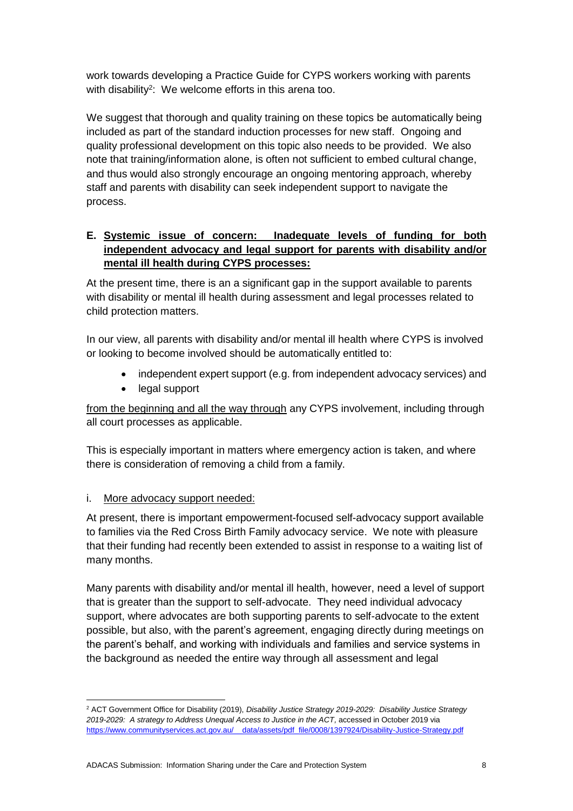work towards developing a Practice Guide for CYPS workers working with parents with disability<sup>2</sup>: We welcome efforts in this arena too.

We suggest that thorough and quality training on these topics be automatically being included as part of the standard induction processes for new staff. Ongoing and quality professional development on this topic also needs to be provided. We also note that training/information alone, is often not sufficient to embed cultural change, and thus would also strongly encourage an ongoing mentoring approach, whereby staff and parents with disability can seek independent support to navigate the process.

#### **E. Systemic issue of concern: Inadequate levels of funding for both independent advocacy and legal support for parents with disability and/or mental ill health during CYPS processes:**

At the present time, there is an a significant gap in the support available to parents with disability or mental ill health during assessment and legal processes related to child protection matters.

In our view, all parents with disability and/or mental ill health where CYPS is involved or looking to become involved should be automatically entitled to:

- independent expert support (e.g. from independent advocacy services) and
- legal support

from the beginning and all the way through any CYPS involvement, including through all court processes as applicable.

This is especially important in matters where emergency action is taken, and where there is consideration of removing a child from a family.

#### i. More advocacy support needed:

At present, there is important empowerment-focused self-advocacy support available to families via the Red Cross Birth Family advocacy service. We note with pleasure that their funding had recently been extended to assist in response to a waiting list of many months.

Many parents with disability and/or mental ill health, however, need a level of support that is greater than the support to self-advocate. They need individual advocacy support, where advocates are both supporting parents to self-advocate to the extent possible, but also, with the parent's agreement, engaging directly during meetings on the parent's behalf, and working with individuals and families and service systems in the background as needed the entire way through all assessment and legal

 $\overline{a}$ <sup>2</sup> ACT Government Office for Disability (2019), *Disability Justice Strategy 2019-2029: Disability Justice Strategy*  2019-2029: A strategy to Address Unequal Access to Justice in the ACT, accessed in October 2019 via [https://www.communityservices.act.gov.au/\\_\\_data/assets/pdf\\_file/0008/1397924/Disability-Justice-Strategy.pdf](https://www.communityservices.act.gov.au/__data/assets/pdf_file/0008/1397924/Disability-Justice-Strategy.pdf)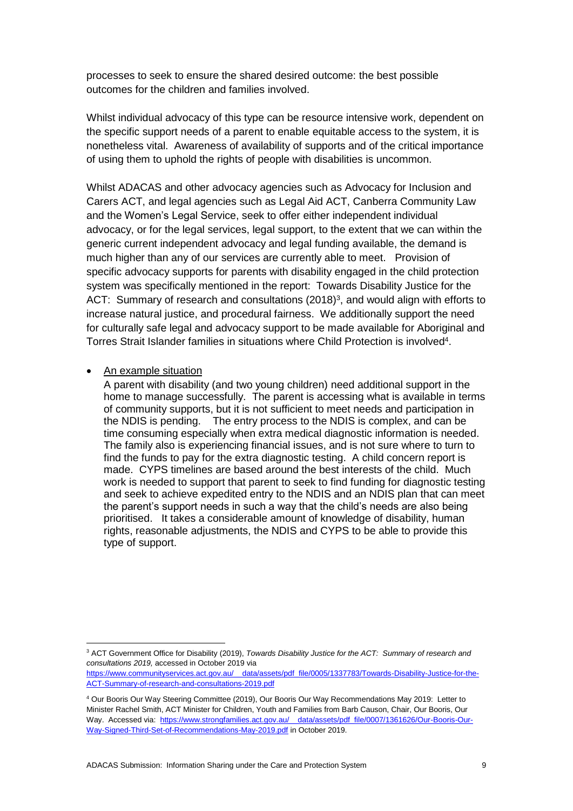processes to seek to ensure the shared desired outcome: the best possible outcomes for the children and families involved.

Whilst individual advocacy of this type can be resource intensive work, dependent on the specific support needs of a parent to enable equitable access to the system, it is nonetheless vital. Awareness of availability of supports and of the critical importance of using them to uphold the rights of people with disabilities is uncommon.

Whilst ADACAS and other advocacy agencies such as Advocacy for Inclusion and Carers ACT, and legal agencies such as Legal Aid ACT, Canberra Community Law and the Women's Legal Service, seek to offer either independent individual advocacy, or for the legal services, legal support, to the extent that we can within the generic current independent advocacy and legal funding available, the demand is much higher than any of our services are currently able to meet. Provision of specific advocacy supports for parents with disability engaged in the child protection system was specifically mentioned in the report: Towards Disability Justice for the ACT: Summary of research and consultations  $(2018)^3$ , and would align with efforts to increase natural justice, and procedural fairness. We additionally support the need for culturally safe legal and advocacy support to be made available for Aboriginal and Torres Strait Islander families in situations where Child Protection is involved<sup>4</sup>.

#### An example situation

 $\overline{a}$ 

A parent with disability (and two young children) need additional support in the home to manage successfully. The parent is accessing what is available in terms of community supports, but it is not sufficient to meet needs and participation in the NDIS is pending. The entry process to the NDIS is complex, and can be time consuming especially when extra medical diagnostic information is needed. The family also is experiencing financial issues, and is not sure where to turn to find the funds to pay for the extra diagnostic testing. A child concern report is made. CYPS timelines are based around the best interests of the child. Much work is needed to support that parent to seek to find funding for diagnostic testing and seek to achieve expedited entry to the NDIS and an NDIS plan that can meet the parent's support needs in such a way that the child's needs are also being prioritised. It takes a considerable amount of knowledge of disability, human rights, reasonable adjustments, the NDIS and CYPS to be able to provide this type of support.

<sup>3</sup> ACT Government Office for Disability (2019), *Towards Disability Justice for the ACT: Summary of research and consultations 2019,* accessed in October 2019 via

[https://www.communityservices.act.gov.au/\\_\\_data/assets/pdf\\_file/0005/1337783/Towards-Disability-Justice-for-the-](https://www.communityservices.act.gov.au/__data/assets/pdf_file/0005/1337783/Towards-Disability-Justice-for-the-ACT-Summary-of-research-and-consultations-2019.pdf)[ACT-Summary-of-research-and-consultations-2019.pdf](https://www.communityservices.act.gov.au/__data/assets/pdf_file/0005/1337783/Towards-Disability-Justice-for-the-ACT-Summary-of-research-and-consultations-2019.pdf)

<sup>4</sup> Our Booris Our Way Steering Committee (2019), Our Booris Our Way Recommendations May 2019: Letter to Minister Rachel Smith, ACT Minister for Children, Youth and Families from Barb Causon, Chair, Our Booris, Our Way. Accessed via: https://www.strongfamilies.act.gov.au/ data/assets/pdf file/0007/1361626/Our-Booris-Our-[Way-Signed-Third-Set-of-Recommendations-May-2019.pdf](https://www.strongfamilies.act.gov.au/__data/assets/pdf_file/0007/1361626/Our-Booris-Our-Way-Signed-Third-Set-of-Recommendations-May-2019.pdf) in October 2019.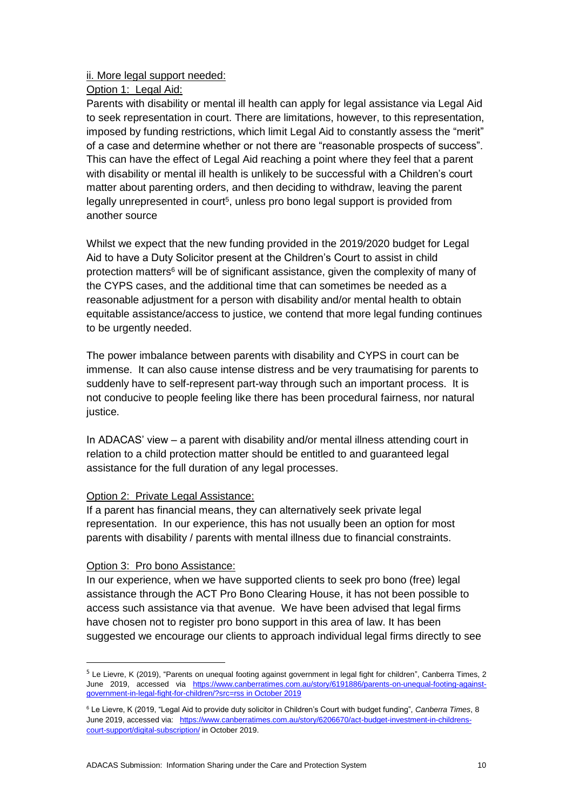#### ii. More legal support needed:

#### Option 1: Legal Aid:

Parents with disability or mental ill health can apply for legal assistance via Legal Aid to seek representation in court. There are limitations, however, to this representation, imposed by funding restrictions, which limit Legal Aid to constantly assess the "merit" of a case and determine whether or not there are "reasonable prospects of success". This can have the effect of Legal Aid reaching a point where they feel that a parent with disability or mental ill health is unlikely to be successful with a Children's court matter about parenting orders, and then deciding to withdraw, leaving the parent legally unrepresented in court<sup>5</sup>, unless pro bono legal support is provided from another source

Whilst we expect that the new funding provided in the 2019/2020 budget for Legal Aid to have a Duty Solicitor present at the Children's Court to assist in child protection matters<sup>6</sup> will be of significant assistance, given the complexity of many of the CYPS cases, and the additional time that can sometimes be needed as a reasonable adjustment for a person with disability and/or mental health to obtain equitable assistance/access to justice, we contend that more legal funding continues to be urgently needed.

The power imbalance between parents with disability and CYPS in court can be immense. It can also cause intense distress and be very traumatising for parents to suddenly have to self-represent part-way through such an important process. It is not conducive to people feeling like there has been procedural fairness, nor natural justice.

In ADACAS' view – a parent with disability and/or mental illness attending court in relation to a child protection matter should be entitled to and guaranteed legal assistance for the full duration of any legal processes.

#### Option 2: Private Legal Assistance:

If a parent has financial means, they can alternatively seek private legal representation. In our experience, this has not usually been an option for most parents with disability / parents with mental illness due to financial constraints.

#### Option 3: Pro bono Assistance:

 $\overline{a}$ 

In our experience, when we have supported clients to seek pro bono (free) legal assistance through the ACT Pro Bono Clearing House, it has not been possible to access such assistance via that avenue. We have been advised that legal firms have chosen not to register pro bono support in this area of law. It has been suggested we encourage our clients to approach individual legal firms directly to see

<sup>&</sup>lt;sup>5</sup> Le Lievre, K (2019), "Parents on unequal footing against government in legal fight for children", Canberra Times, 2 June 2019, accessed via [https://www.canberratimes.com.au/story/6191886/parents-on-unequal-footing-against](https://www.canberratimes.com.au/story/6191886/parents-on-unequal-footing-against-government-in-legal-fight-for-children/?src=rss)[government-in-legal-fight-for-children/?src=rss](https://www.canberratimes.com.au/story/6191886/parents-on-unequal-footing-against-government-in-legal-fight-for-children/?src=rss) in October 2019

<sup>6</sup> Le Lievre, K (2019, "Legal Aid to provide duty solicitor in Children's Court with budget funding", *Canberra Times*, 8 June 2019, accessed via: [https://www.canberratimes.com.au/story/6206670/act-budget-investment-in-childrens](https://www.canberratimes.com.au/story/6206670/act-budget-investment-in-childrens-court-support/digital-subscription/)[court-support/digital-subscription/](https://www.canberratimes.com.au/story/6206670/act-budget-investment-in-childrens-court-support/digital-subscription/) in October 2019.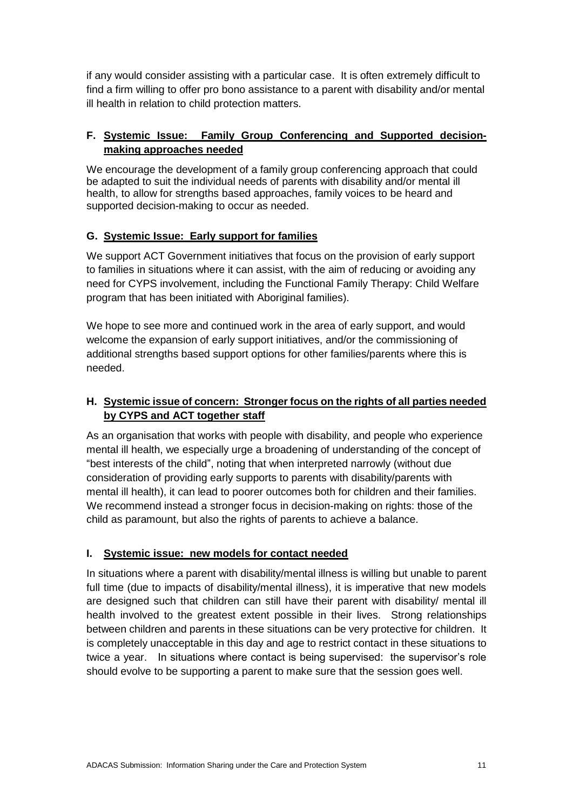if any would consider assisting with a particular case. It is often extremely difficult to find a firm willing to offer pro bono assistance to a parent with disability and/or mental ill health in relation to child protection matters.

#### **F. Systemic Issue: Family Group Conferencing and Supported decisionmaking approaches needed**

We encourage the development of a family group conferencing approach that could be adapted to suit the individual needs of parents with disability and/or mental ill health, to allow for strengths based approaches, family voices to be heard and supported decision-making to occur as needed.

#### **G. Systemic Issue: Early support for families**

We support ACT Government initiatives that focus on the provision of early support to families in situations where it can assist, with the aim of reducing or avoiding any need for CYPS involvement, including the Functional Family Therapy: Child Welfare program that has been initiated with Aboriginal families).

We hope to see more and continued work in the area of early support, and would welcome the expansion of early support initiatives, and/or the commissioning of additional strengths based support options for other families/parents where this is needed.

#### **H. Systemic issue of concern: Stronger focus on the rights of all parties needed by CYPS and ACT together staff**

As an organisation that works with people with disability, and people who experience mental ill health, we especially urge a broadening of understanding of the concept of "best interests of the child", noting that when interpreted narrowly (without due consideration of providing early supports to parents with disability/parents with mental ill health), it can lead to poorer outcomes both for children and their families. We recommend instead a stronger focus in decision-making on rights: those of the child as paramount, but also the rights of parents to achieve a balance.

#### **I. Systemic issue: new models for contact needed**

In situations where a parent with disability/mental illness is willing but unable to parent full time (due to impacts of disability/mental illness), it is imperative that new models are designed such that children can still have their parent with disability/ mental ill health involved to the greatest extent possible in their lives. Strong relationships between children and parents in these situations can be very protective for children. It is completely unacceptable in this day and age to restrict contact in these situations to twice a year. In situations where contact is being supervised: the supervisor's role should evolve to be supporting a parent to make sure that the session goes well.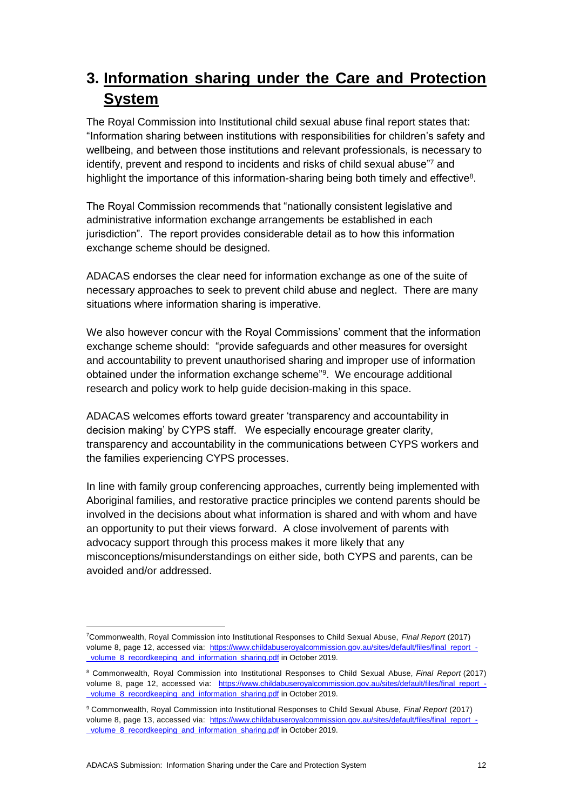## <span id="page-11-0"></span>**3. Information sharing under the Care and Protection System**

The Royal Commission into Institutional child sexual abuse final report states that: "Information sharing between institutions with responsibilities for children's safety and wellbeing, and between those institutions and relevant professionals, is necessary to identify, prevent and respond to incidents and risks of child sexual abuse"<sup>7</sup> and highlight the importance of this information-sharing being both timely and effective<sup>8</sup>.

The Royal Commission recommends that "nationally consistent legislative and administrative information exchange arrangements be established in each jurisdiction". The report provides considerable detail as to how this information exchange scheme should be designed.

ADACAS endorses the clear need for information exchange as one of the suite of necessary approaches to seek to prevent child abuse and neglect. There are many situations where information sharing is imperative.

We also however concur with the Royal Commissions' comment that the information exchange scheme should: "provide safeguards and other measures for oversight and accountability to prevent unauthorised sharing and improper use of information obtained under the information exchange scheme"<sup>9</sup> . We encourage additional research and policy work to help guide decision-making in this space.

ADACAS welcomes efforts toward greater 'transparency and accountability in decision making' by CYPS staff. We especially encourage greater clarity, transparency and accountability in the communications between CYPS workers and the families experiencing CYPS processes.

In line with family group conferencing approaches, currently being implemented with Aboriginal families, and restorative practice principles we contend parents should be involved in the decisions about what information is shared and with whom and have an opportunity to put their views forward. A close involvement of parents with advocacy support through this process makes it more likely that any misconceptions/misunderstandings on either side, both CYPS and parents, can be avoided and/or addressed.

 $\overline{a}$ 

<sup>7</sup>Commonwealth, Royal Commission into Institutional Responses to Child Sexual Abuse, *Final Report* (2017) volume 8, page 12, accessed via: [https://www.childabuseroyalcommission.gov.au/sites/default/files/final\\_report\\_-](https://www.childabuseroyalcommission.gov.au/sites/default/files/final_report_-_volume_8_recordkeeping_and_information_sharing.pdf) [\\_volume\\_8\\_recordkeeping\\_and\\_information\\_sharing.pdf](https://www.childabuseroyalcommission.gov.au/sites/default/files/final_report_-_volume_8_recordkeeping_and_information_sharing.pdf) in October 2019.

<sup>8</sup> Commonwealth, Royal Commission into Institutional Responses to Child Sexual Abuse, *Final Report* (2017) volume 8, page 12, accessed via: [https://www.childabuseroyalcommission.gov.au/sites/default/files/final\\_report\\_-](https://www.childabuseroyalcommission.gov.au/sites/default/files/final_report_-_volume_8_recordkeeping_and_information_sharing.pdf) [\\_volume\\_8\\_recordkeeping\\_and\\_information\\_sharing.pdf](https://www.childabuseroyalcommission.gov.au/sites/default/files/final_report_-_volume_8_recordkeeping_and_information_sharing.pdf) in October 2019.

<sup>9</sup> Commonwealth, Royal Commission into Institutional Responses to Child Sexual Abuse, *Final Report* (2017) volume 8, page 13, accessed via: [https://www.childabuseroyalcommission.gov.au/sites/default/files/final\\_report\\_](https://www.childabuseroyalcommission.gov.au/sites/default/files/final_report_-_volume_8_recordkeeping_and_information_sharing.pdf) volume 8 recordkeeping and information sharing.pdf in October 2019.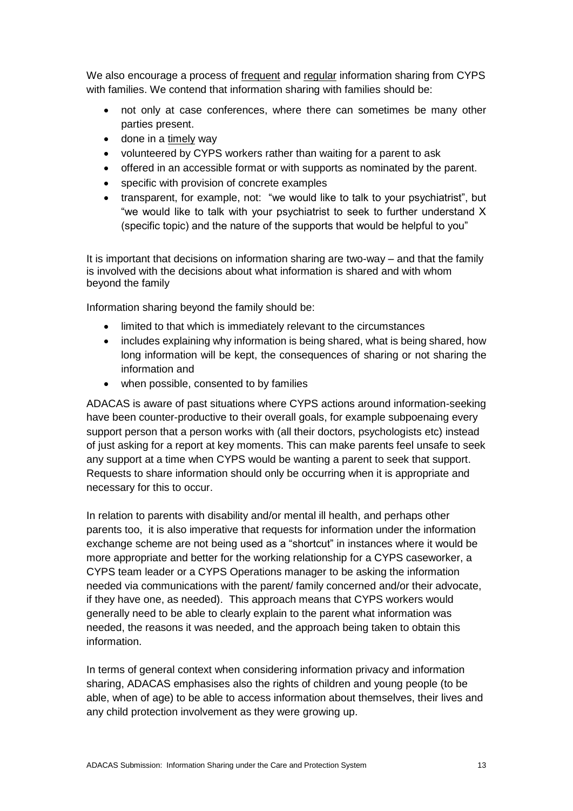We also encourage a process of frequent and regular information sharing from CYPS with families. We contend that information sharing with families should be:

- not only at case conferences, where there can sometimes be many other parties present.
- done in a timely way
- volunteered by CYPS workers rather than waiting for a parent to ask
- offered in an accessible format or with supports as nominated by the parent.
- specific with provision of concrete examples
- transparent, for example, not: "we would like to talk to your psychiatrist", but "we would like to talk with your psychiatrist to seek to further understand X (specific topic) and the nature of the supports that would be helpful to you"

It is important that decisions on information sharing are two-way – and that the family is involved with the decisions about what information is shared and with whom beyond the family

Information sharing beyond the family should be:

- limited to that which is immediately relevant to the circumstances
- includes explaining why information is being shared, what is being shared, how long information will be kept, the consequences of sharing or not sharing the information and
- when possible, consented to by families

ADACAS is aware of past situations where CYPS actions around information-seeking have been counter-productive to their overall goals, for example subpoenaing every support person that a person works with (all their doctors, psychologists etc) instead of just asking for a report at key moments. This can make parents feel unsafe to seek any support at a time when CYPS would be wanting a parent to seek that support. Requests to share information should only be occurring when it is appropriate and necessary for this to occur.

In relation to parents with disability and/or mental ill health, and perhaps other parents too, it is also imperative that requests for information under the information exchange scheme are not being used as a "shortcut" in instances where it would be more appropriate and better for the working relationship for a CYPS caseworker, a CYPS team leader or a CYPS Operations manager to be asking the information needed via communications with the parent/ family concerned and/or their advocate, if they have one, as needed). This approach means that CYPS workers would generally need to be able to clearly explain to the parent what information was needed, the reasons it was needed, and the approach being taken to obtain this information.

In terms of general context when considering information privacy and information sharing, ADACAS emphasises also the rights of children and young people (to be able, when of age) to be able to access information about themselves, their lives and any child protection involvement as they were growing up.